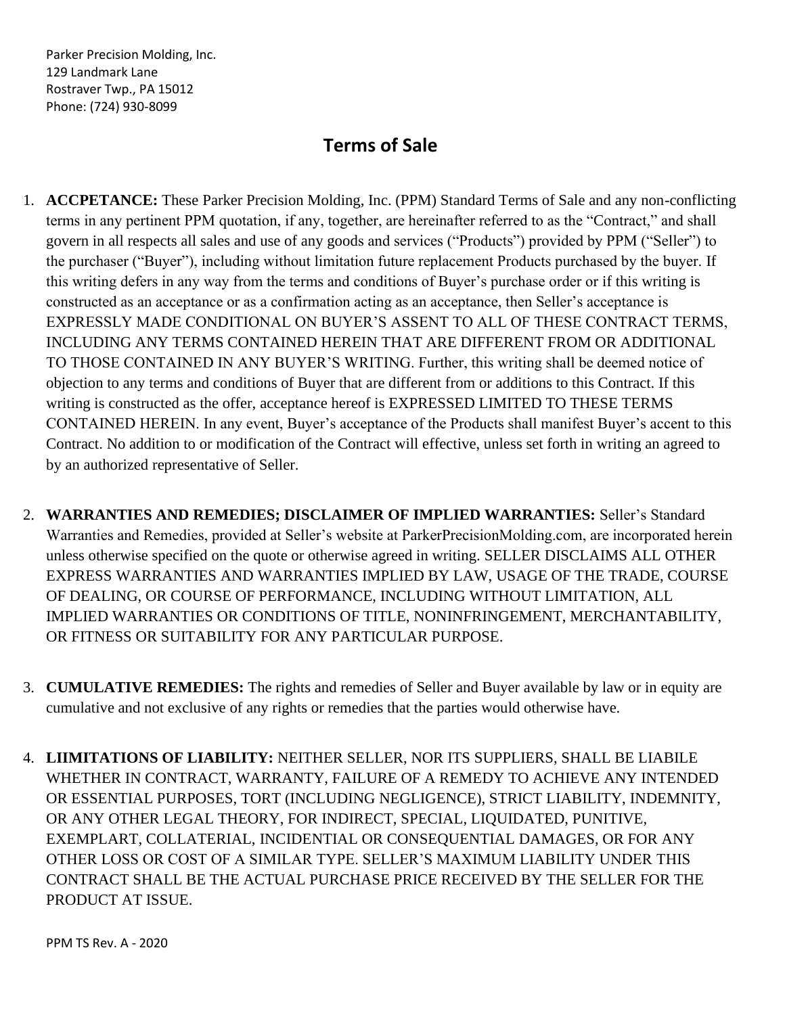## **Terms of Sale**

- 1. **ACCPETANCE:** These Parker Precision Molding, Inc. (PPM) Standard Terms of Sale and any non-conflicting terms in any pertinent PPM quotation, if any, together, are hereinafter referred to as the "Contract," and shall govern in all respects all sales and use of any goods and services ("Products") provided by PPM ("Seller") to the purchaser ("Buyer"), including without limitation future replacement Products purchased by the buyer. If this writing defers in any way from the terms and conditions of Buyer's purchase order or if this writing is constructed as an acceptance or as a confirmation acting as an acceptance, then Seller's acceptance is EXPRESSLY MADE CONDITIONAL ON BUYER'S ASSENT TO ALL OF THESE CONTRACT TERMS, INCLUDING ANY TERMS CONTAINED HEREIN THAT ARE DIFFERENT FROM OR ADDITIONAL TO THOSE CONTAINED IN ANY BUYER'S WRITING. Further, this writing shall be deemed notice of objection to any terms and conditions of Buyer that are different from or additions to this Contract. If this writing is constructed as the offer, acceptance hereof is EXPRESSED LIMITED TO THESE TERMS CONTAINED HEREIN. In any event, Buyer's acceptance of the Products shall manifest Buyer's accent to this Contract. No addition to or modification of the Contract will effective, unless set forth in writing an agreed to by an authorized representative of Seller.
- 2. **WARRANTIES AND REMEDIES; DISCLAIMER OF IMPLIED WARRANTIES:** Seller's Standard Warranties and Remedies, provided at Seller's website at ParkerPrecisionMolding.com, are incorporated herein unless otherwise specified on the quote or otherwise agreed in writing. SELLER DISCLAIMS ALL OTHER EXPRESS WARRANTIES AND WARRANTIES IMPLIED BY LAW, USAGE OF THE TRADE, COURSE OF DEALING, OR COURSE OF PERFORMANCE, INCLUDING WITHOUT LIMITATION, ALL IMPLIED WARRANTIES OR CONDITIONS OF TITLE, NONINFRINGEMENT, MERCHANTABILITY, OR FITNESS OR SUITABILITY FOR ANY PARTICULAR PURPOSE.
- 3. **CUMULATIVE REMEDIES:** The rights and remedies of Seller and Buyer available by law or in equity are cumulative and not exclusive of any rights or remedies that the parties would otherwise have.
- 4. **LIIMITATIONS OF LIABILITY:** NEITHER SELLER, NOR ITS SUPPLIERS, SHALL BE LIABILE WHETHER IN CONTRACT, WARRANTY, FAILURE OF A REMEDY TO ACHIEVE ANY INTENDED OR ESSENTIAL PURPOSES, TORT (INCLUDING NEGLIGENCE), STRICT LIABILITY, INDEMNITY, OR ANY OTHER LEGAL THEORY, FOR INDIRECT, SPECIAL, LIQUIDATED, PUNITIVE, EXEMPLART, COLLATERIAL, INCIDENTIAL OR CONSEQUENTIAL DAMAGES, OR FOR ANY OTHER LOSS OR COST OF A SIMILAR TYPE. SELLER'S MAXIMUM LIABILITY UNDER THIS CONTRACT SHALL BE THE ACTUAL PURCHASE PRICE RECEIVED BY THE SELLER FOR THE PRODUCT AT ISSUE.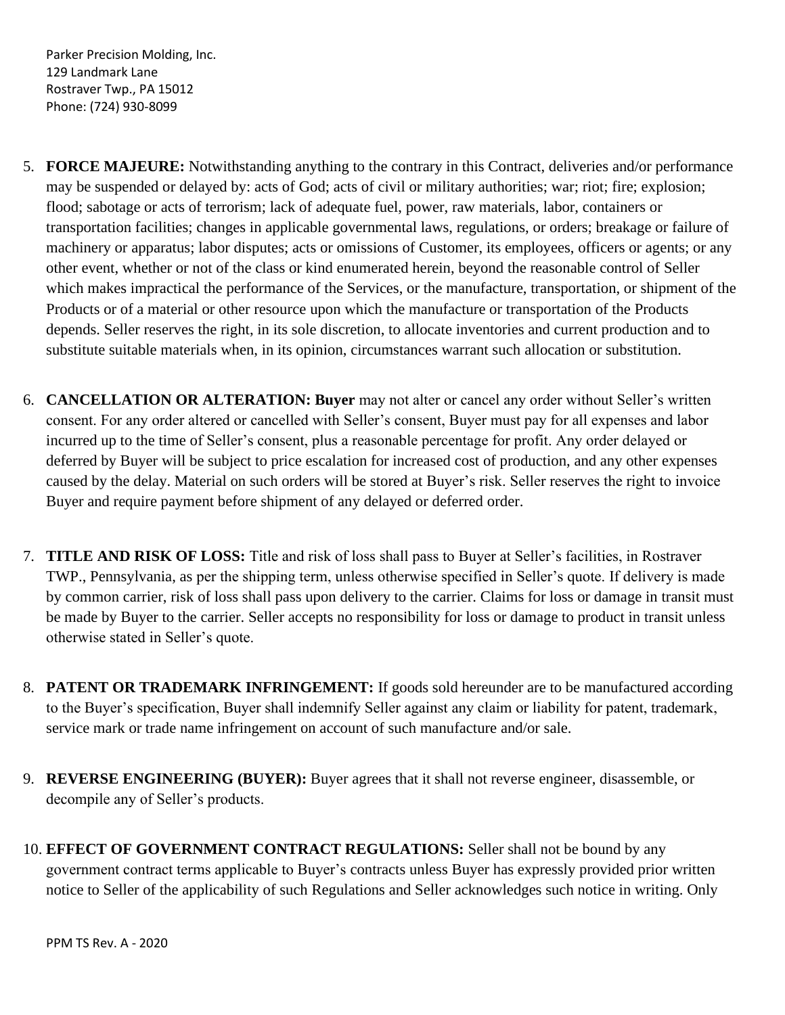- 5. **FORCE MAJEURE:** Notwithstanding anything to the contrary in this Contract, deliveries and/or performance may be suspended or delayed by: acts of God; acts of civil or military authorities; war; riot; fire; explosion; flood; sabotage or acts of terrorism; lack of adequate fuel, power, raw materials, labor, containers or transportation facilities; changes in applicable governmental laws, regulations, or orders; breakage or failure of machinery or apparatus; labor disputes; acts or omissions of Customer, its employees, officers or agents; or any other event, whether or not of the class or kind enumerated herein, beyond the reasonable control of Seller which makes impractical the performance of the Services, or the manufacture, transportation, or shipment of the Products or of a material or other resource upon which the manufacture or transportation of the Products depends. Seller reserves the right, in its sole discretion, to allocate inventories and current production and to substitute suitable materials when, in its opinion, circumstances warrant such allocation or substitution.
- 6. **CANCELLATION OR ALTERATION: Buyer** may not alter or cancel any order without Seller's written consent. For any order altered or cancelled with Seller's consent, Buyer must pay for all expenses and labor incurred up to the time of Seller's consent, plus a reasonable percentage for profit. Any order delayed or deferred by Buyer will be subject to price escalation for increased cost of production, and any other expenses caused by the delay. Material on such orders will be stored at Buyer's risk. Seller reserves the right to invoice Buyer and require payment before shipment of any delayed or deferred order.
- 7. **TITLE AND RISK OF LOSS:** Title and risk of loss shall pass to Buyer at Seller's facilities, in Rostraver TWP., Pennsylvania, as per the shipping term, unless otherwise specified in Seller's quote. If delivery is made by common carrier, risk of loss shall pass upon delivery to the carrier. Claims for loss or damage in transit must be made by Buyer to the carrier. Seller accepts no responsibility for loss or damage to product in transit unless otherwise stated in Seller's quote.
- 8. **PATENT OR TRADEMARK INFRINGEMENT:** If goods sold hereunder are to be manufactured according to the Buyer's specification, Buyer shall indemnify Seller against any claim or liability for patent, trademark, service mark or trade name infringement on account of such manufacture and/or sale.
- 9. **REVERSE ENGINEERING (BUYER):** Buyer agrees that it shall not reverse engineer, disassemble, or decompile any of Seller's products.
- 10. **EFFECT OF GOVERNMENT CONTRACT REGULATIONS:** Seller shall not be bound by any government contract terms applicable to Buyer's contracts unless Buyer has expressly provided prior written notice to Seller of the applicability of such Regulations and Seller acknowledges such notice in writing. Only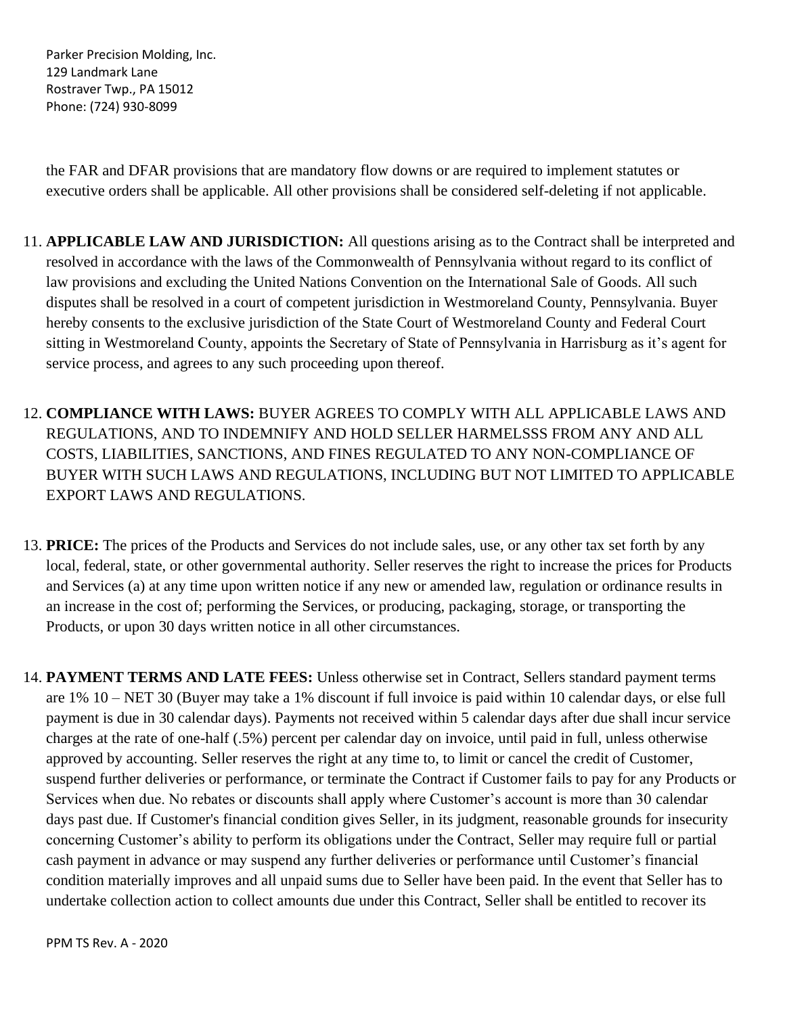the FAR and DFAR provisions that are mandatory flow downs or are required to implement statutes or executive orders shall be applicable. All other provisions shall be considered self-deleting if not applicable.

- 11. **APPLICABLE LAW AND JURISDICTION:** All questions arising as to the Contract shall be interpreted and resolved in accordance with the laws of the Commonwealth of Pennsylvania without regard to its conflict of law provisions and excluding the United Nations Convention on the International Sale of Goods. All such disputes shall be resolved in a court of competent jurisdiction in Westmoreland County, Pennsylvania. Buyer hereby consents to the exclusive jurisdiction of the State Court of Westmoreland County and Federal Court sitting in Westmoreland County, appoints the Secretary of State of Pennsylvania in Harrisburg as it's agent for service process, and agrees to any such proceeding upon thereof.
- 12. **COMPLIANCE WITH LAWS:** BUYER AGREES TO COMPLY WITH ALL APPLICABLE LAWS AND REGULATIONS, AND TO INDEMNIFY AND HOLD SELLER HARMELSSS FROM ANY AND ALL COSTS, LIABILITIES, SANCTIONS, AND FINES REGULATED TO ANY NON-COMPLIANCE OF BUYER WITH SUCH LAWS AND REGULATIONS, INCLUDING BUT NOT LIMITED TO APPLICABLE EXPORT LAWS AND REGULATIONS.
- 13. **PRICE:** The prices of the Products and Services do not include sales, use, or any other tax set forth by any local, federal, state, or other governmental authority. Seller reserves the right to increase the prices for Products and Services (a) at any time upon written notice if any new or amended law, regulation or ordinance results in an increase in the cost of; performing the Services, or producing, packaging, storage, or transporting the Products, or upon 30 days written notice in all other circumstances.
- 14. **PAYMENT TERMS AND LATE FEES:** Unless otherwise set in Contract, Sellers standard payment terms are 1% 10 – NET 30 (Buyer may take a 1% discount if full invoice is paid within 10 calendar days, or else full payment is due in 30 calendar days). Payments not received within 5 calendar days after due shall incur service charges at the rate of one-half (.5%) percent per calendar day on invoice, until paid in full, unless otherwise approved by accounting. Seller reserves the right at any time to, to limit or cancel the credit of Customer, suspend further deliveries or performance, or terminate the Contract if Customer fails to pay for any Products or Services when due. No rebates or discounts shall apply where Customer's account is more than 30 calendar days past due. If Customer's financial condition gives Seller, in its judgment, reasonable grounds for insecurity concerning Customer's ability to perform its obligations under the Contract, Seller may require full or partial cash payment in advance or may suspend any further deliveries or performance until Customer's financial condition materially improves and all unpaid sums due to Seller have been paid. In the event that Seller has to undertake collection action to collect amounts due under this Contract, Seller shall be entitled to recover its